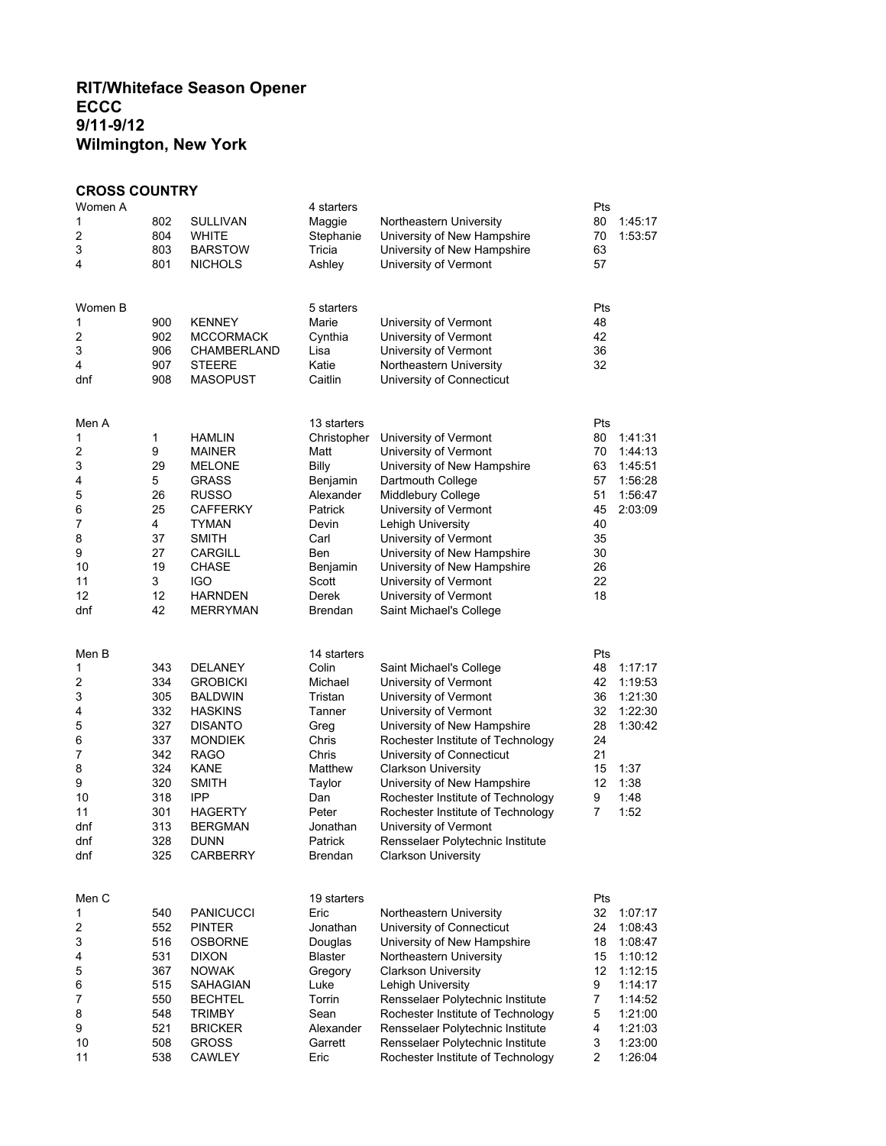## **RIT/Whiteface Season Opener ECCC 9/11-9/12 Wilmington, New York**

## **CROSS COUNTRY**

| Women A                 |     |                  | 4 starters          |                                   | Pts            |         |
|-------------------------|-----|------------------|---------------------|-----------------------------------|----------------|---------|
| 1                       | 802 | SULLIVAN         | Maggie              | Northeastern University           | 80             | 1:45:17 |
| 2                       | 804 | WHITE            | Stephanie           | University of New Hampshire       | 70             | 1:53:57 |
| 3                       | 803 | <b>BARSTOW</b>   | Tricia              | University of New Hampshire       | 63             |         |
| 4                       | 801 | <b>NICHOLS</b>   | Ashley              | University of Vermont             | 57             |         |
|                         |     |                  |                     |                                   |                |         |
| Women B                 |     |                  | 5 starters          |                                   | Pts            |         |
| 1                       | 900 | <b>KENNEY</b>    | Marie               | University of Vermont             | 48             |         |
| $\overline{\mathbf{c}}$ | 902 | MCCORMACK        | Cynthia             | University of Vermont             | 42             |         |
| 3                       | 906 | CHAMBERLAND      | Lisa                | University of Vermont             | 36             |         |
| 4                       | 907 | <b>STEERE</b>    | Katie               | Northeastern University           | 32             |         |
| dnf                     | 908 | <b>MASOPUST</b>  | Caitlin             | University of Connecticut         |                |         |
| Men A                   |     |                  | 13 starters         |                                   | Pts            |         |
| 1                       | 1   | <b>HAMLIN</b>    | Christopher         | University of Vermont             | 80             | 1:41:31 |
| $\overline{c}$          | 9   | MAINER           | Matt                | University of Vermont             | 70             | 1:44:13 |
| 3                       | 29  | <b>MELONE</b>    | <b>Billy</b>        | University of New Hampshire       | 63             | 1:45:51 |
| 4                       | 5   | <b>GRASS</b>     | Benjamin            | Dartmouth College                 | 57             | 1:56:28 |
| 5                       | 26  | <b>RUSSO</b>     | Alexander           | Middlebury College                | 51             | 1:56:47 |
| 6                       | 25  | CAFFERKY         | Patrick             | University of Vermont             | 45             | 2:03:09 |
| 7                       | 4   | TYMAN            | Devin               | Lehigh University                 | 40             |         |
| 8                       | 37  | SMITH            | Carl                | University of Vermont             | 35             |         |
| 9                       | 27  | CARGILL          | Ben                 | University of New Hampshire       | 30             |         |
| 10                      | 19  | <b>CHASE</b>     | Benjamin            | University of New Hampshire       | 26             |         |
| 11                      | 3   | IGO              | Scott               | University of Vermont             | 22             |         |
| 12                      | 12  | <b>HARNDEN</b>   | Derek               | University of Vermont             | 18             |         |
| dnf                     | 42  | <b>MERRYMAN</b>  | Brendan             | Saint Michael's College           |                |         |
|                         |     |                  |                     |                                   |                |         |
| Men B                   |     |                  | 14 starters         |                                   | Pts            |         |
| 1                       | 343 | <b>DELANEY</b>   | Colin               | Saint Michael's College           | 48             | 1:17:17 |
| 2                       | 334 | <b>GROBICKI</b>  | Michael             | University of Vermont             | 42             | 1:19:53 |
| 3                       | 305 | <b>BALDWIN</b>   | Tristan             | University of Vermont             | 36             | 1:21:30 |
| 4                       | 332 | <b>HASKINS</b>   | Tanner              | University of Vermont             | 32             | 1:22:30 |
| 5                       | 327 | <b>DISANTO</b>   | Greg                | University of New Hampshire       | 28             | 1:30:42 |
| 6                       | 337 | <b>MONDIEK</b>   | Chris               | Rochester Institute of Technology | 24             |         |
| 7                       | 342 | RAGO             | Chris               | University of Connecticut         | 21             |         |
| 8                       | 324 | KANE             | Matthew             | <b>Clarkson University</b>        | 15             | 1:37    |
| 9                       | 320 | SMITH            | Taylor              | University of New Hampshire       | 12             | 1:38    |
| 10                      | 318 | <b>IPP</b>       | Dan                 | Rochester Institute of Technology | 9              | 1:48    |
| 11                      | 301 | HAGERTY          | Peter               | Rochester Institute of Technology | $\overline{7}$ | 1:52    |
| dnf                     | 313 | <b>BERGMAN</b>   | Jonathan            | University of Vermont             |                |         |
| dnf                     | 328 | <b>DUNN</b>      | Patrick             | Rensselaer Polytechnic Institute  |                |         |
| dnf                     | 325 | <b>CARBERRY</b>  | Brendan             | <b>Clarkson University</b>        |                |         |
|                         |     |                  |                     |                                   | Pts            |         |
| Men C<br>1              | 540 | <b>PANICUCCI</b> | 19 starters<br>Eric | Northeastern University           | 32             | 1:07:17 |
| $\overline{c}$          | 552 | <b>PINTER</b>    | Jonathan            | University of Connecticut         | 24             | 1:08:43 |
| 3                       | 516 | <b>OSBORNE</b>   | Douglas             | University of New Hampshire       | 18             | 1:08:47 |
| 4                       | 531 | <b>DIXON</b>     | <b>Blaster</b>      | Northeastern University           | 15             | 1:10:12 |
| 5                       | 367 | <b>NOWAK</b>     | Gregory             | <b>Clarkson University</b>        | 12             | 1:12:15 |
| 6                       | 515 | SAHAGIAN         | Luke                | Lehigh University                 | 9              | 1:14:17 |
| 7                       | 550 | <b>BECHTEL</b>   | Torrin              | Rensselaer Polytechnic Institute  | 7              | 1:14:52 |
| 8                       | 548 | <b>TRIMBY</b>    | Sean                | Rochester Institute of Technology | 5              | 1:21:00 |
| 9                       | 521 | <b>BRICKER</b>   | Alexander           | Rensselaer Polytechnic Institute  | 4              | 1:21:03 |
| 10                      | 508 | <b>GROSS</b>     | Garrett             | Rensselaer Polytechnic Institute  | 3              | 1:23:00 |
| 11                      | 538 | <b>CAWLEY</b>    | Eric                | Rochester Institute of Technology | $\overline{c}$ | 1:26:04 |
|                         |     |                  |                     |                                   |                |         |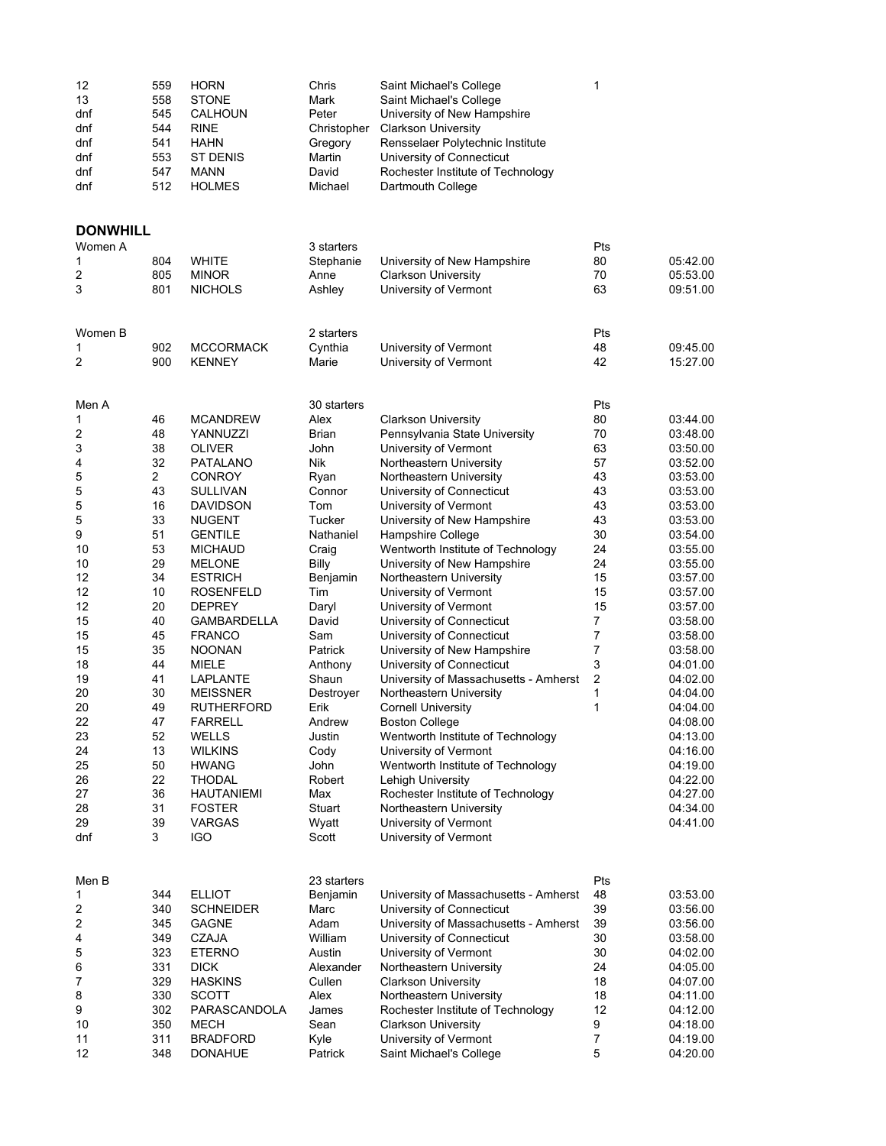| 12  | 559 | <b>HORN</b>     | Chris       | Saint Michael's College           |  |
|-----|-----|-----------------|-------------|-----------------------------------|--|
| 13  | 558 | <b>STONE</b>    | Mark        | Saint Michael's College           |  |
| dnf | 545 | <b>CALHOUN</b>  | Peter       | University of New Hampshire       |  |
| dnf | 544 | <b>RINE</b>     | Christopher | <b>Clarkson University</b>        |  |
| dnf | 541 | HAHN            | Gregory     | Rensselaer Polytechnic Institute  |  |
| dnf | 553 | <b>ST DENIS</b> | Martin      | University of Connecticut         |  |
| dnf | 547 | MANN            | David       | Rochester Institute of Technology |  |
| dnf | 512 | <b>HOLMES</b>   | Michael     | Dartmouth College                 |  |
|     |     |                 |             |                                   |  |

## **DONWHILL**<br>Women A

| Women A |                |                    | 3 starters   |                                       | Pts            |          |
|---------|----------------|--------------------|--------------|---------------------------------------|----------------|----------|
| 1       | 804            | <b>WHITE</b>       | Stephanie    | University of New Hampshire           | 80             | 05:42.00 |
| 2       | 805            | <b>MINOR</b>       | Anne         | <b>Clarkson University</b>            | 70             | 05:53.00 |
| 3       | 801            | <b>NICHOLS</b>     | Ashley       | University of Vermont                 | 63             | 09:51.00 |
|         |                |                    |              |                                       |                |          |
| Women B |                |                    | 2 starters   |                                       | Pts            |          |
| 1       | 902            | <b>MCCORMACK</b>   | Cynthia      | University of Vermont                 | 48             | 09:45.00 |
| 2       | 900            | <b>KENNEY</b>      | Marie        | University of Vermont                 | 42             | 15:27.00 |
| Men A   |                |                    | 30 starters  |                                       | Pts            |          |
| 1       | 46             | <b>MCANDREW</b>    | Alex         | <b>Clarkson University</b>            | 80             | 03:44.00 |
| 2       | 48             | YANNUZZI           | Brian        | Pennsylvania State University         | 70             | 03:48.00 |
| 3       | 38             | <b>OLIVER</b>      | John         | University of Vermont                 | 63             | 03:50.00 |
| 4       | 32             | <b>PATALANO</b>    | Nik          | Northeastern University               | 57             | 03:52.00 |
| 5       | $\overline{2}$ | <b>CONROY</b>      | Ryan         | Northeastern University               | 43             | 03:53.00 |
|         | 43             |                    |              |                                       | 43             | 03:53.00 |
| 5       |                | <b>SULLIVAN</b>    | Connor       | University of Connecticut             |                |          |
| 5       | 16             | <b>DAVIDSON</b>    | Tom          | University of Vermont                 | 43             | 03:53.00 |
| 5       | 33             | <b>NUGENT</b>      | Tucker       | University of New Hampshire           | 43             | 03:53.00 |
| 9       | 51             | <b>GENTILE</b>     | Nathaniel    | Hampshire College                     | 30             | 03:54.00 |
| 10      | 53             | <b>MICHAUD</b>     | Craig        | Wentworth Institute of Technology     | 24             | 03:55.00 |
| 10      | 29             | <b>MELONE</b>      | <b>Billy</b> | University of New Hampshire           | 24             | 03:55.00 |
| 12      | 34             | <b>ESTRICH</b>     | Benjamin     | Northeastern University               | 15             | 03:57.00 |
| 12      | 10             | <b>ROSENFELD</b>   | Tim          | University of Vermont                 | 15             | 03:57.00 |
| 12      | 20             | <b>DEPREY</b>      | Daryl        | University of Vermont                 | 15             | 03:57.00 |
| 15      | 40             | <b>GAMBARDELLA</b> | David        | University of Connecticut             | $\overline{7}$ | 03:58.00 |
| 15      | 45             | <b>FRANCO</b>      | Sam          | University of Connecticut             | $\overline{7}$ | 03:58.00 |
| 15      | 35             | <b>NOONAN</b>      | Patrick      | University of New Hampshire           | 7              | 03:58.00 |
| 18      | 44             | MIELE              | Anthony      | University of Connecticut             | 3              | 04:01.00 |
| 19      | 41             | <b>LAPLANTE</b>    | Shaun        |                                       | $\overline{c}$ | 04:02.00 |
|         | 30             |                    |              | University of Massachusetts - Amherst | 1              |          |
| 20      |                | <b>MEISSNER</b>    | Destroyer    | Northeastern University               |                | 04:04.00 |
| 20      | 49             | <b>RUTHERFORD</b>  | Erik         | <b>Cornell University</b>             | 1              | 04:04.00 |
| 22      | 47             | <b>FARRELL</b>     | Andrew       | <b>Boston College</b>                 |                | 04:08.00 |
| 23      | 52             | <b>WELLS</b>       | Justin       | Wentworth Institute of Technology     |                | 04:13.00 |
| 24      | 13             | <b>WILKINS</b>     | Cody         | University of Vermont                 |                | 04:16.00 |
| 25      | 50             | <b>HWANG</b>       | John         | Wentworth Institute of Technology     |                | 04:19.00 |
| 26      | 22             | <b>THODAL</b>      | Robert       | Lehigh University                     |                | 04:22.00 |
| 27      | 36             | <b>HAUTANIEMI</b>  | Max          | Rochester Institute of Technology     |                | 04:27.00 |
| 28      | 31             | <b>FOSTER</b>      | Stuart       | Northeastern University               |                | 04:34.00 |
| 29      | 39             | <b>VARGAS</b>      | Wyatt        | University of Vermont                 |                | 04:41.00 |
| dnf     | 3              | <b>IGO</b>         | Scott        | University of Vermont                 |                |          |
| Men B   |                |                    | 23 starters  |                                       | Pts            |          |
| 1       | 344            | <b>ELLIOT</b>      | Benjamin     | University of Massachusetts - Amherst | 48             | 03:53.00 |
| 2       | 340            | <b>SCHNEIDER</b>   | Marc         | University of Connecticut             | 39             | 03:56.00 |
| 2       | 345            | <b>GAGNE</b>       | Adam         | University of Massachusetts - Amherst | 39             | 03:56.00 |
| 4       | 349            | <b>CZAJA</b>       | William      | University of Connecticut             | 30             | 03:58.00 |
| 5       | 323            | <b>ETERNO</b>      | Austin       | University of Vermont                 | 30             | 04:02.00 |
| 6       | 331            | <b>DICK</b>        | Alexander    | Northeastern University               | 24             | 04:05.00 |
| 7       | 329            | <b>HASKINS</b>     | Cullen       |                                       | 18             |          |
|         |                |                    |              | <b>Clarkson University</b>            |                | 04:07.00 |
| 8       | 330            | <b>SCOTT</b>       | Alex         | Northeastern University               | 18             | 04:11.00 |
| 9       | 302            | PARASCANDOLA       | James        | Rochester Institute of Technology     | 12             | 04:12.00 |
| 10      | 350            | MECH               | Sean         | <b>Clarkson University</b>            | 9              | 04:18.00 |
| 11      | 311            | <b>BRADFORD</b>    | Kyle         | University of Vermont                 | $\overline{7}$ | 04:19.00 |
| 12      | 348            | <b>DONAHUE</b>     | Patrick      | Saint Michael's College               | 5              | 04:20.00 |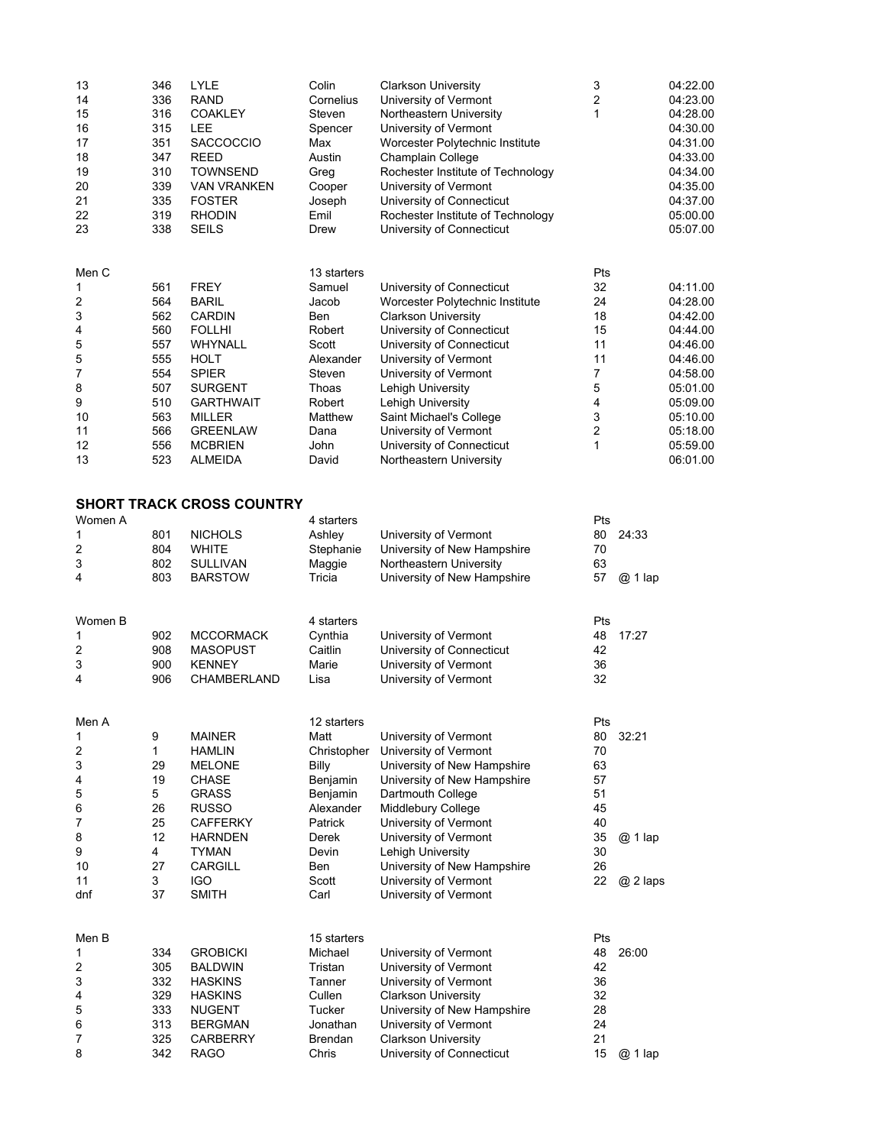| 13<br>14<br>15<br>16<br>17<br>18<br>19<br>20<br>21<br>22<br>23 | 346<br>336<br>316<br>315<br>351<br>347<br>310<br>339<br>335<br>319<br>338 | LYLE<br><b>RAND</b><br><b>COAKLEY</b><br>LEE<br><b>SACCOCCIO</b><br><b>REED</b><br><b>TOWNSEND</b><br><b>VAN VRANKEN</b><br><b>FOSTER</b><br><b>RHODIN</b><br><b>SEILS</b> | Colin<br>Cornelius<br>Steven<br>Spencer<br>Max<br>Austin<br>Greg<br>Cooper<br>Joseph<br>Emil<br>Drew | <b>Clarkson University</b><br>University of Vermont<br>Northeastern University<br>University of Vermont<br>Worcester Polytechnic Institute<br>Champlain College<br>Rochester Institute of Technology<br>University of Vermont<br>University of Connecticut<br>Rochester Institute of Technology<br>University of Connecticut | 3<br>2<br>1      |          | 04:22.00<br>04:23.00<br>04:28.00<br>04:30.00<br>04:31.00<br>04:33.00<br>04:34.00<br>04:35.00<br>04:37.00<br>05:00.00<br>05:07.00 |
|----------------------------------------------------------------|---------------------------------------------------------------------------|----------------------------------------------------------------------------------------------------------------------------------------------------------------------------|------------------------------------------------------------------------------------------------------|------------------------------------------------------------------------------------------------------------------------------------------------------------------------------------------------------------------------------------------------------------------------------------------------------------------------------|------------------|----------|----------------------------------------------------------------------------------------------------------------------------------|
| Men C                                                          |                                                                           |                                                                                                                                                                            | 13 starters                                                                                          |                                                                                                                                                                                                                                                                                                                              | Pts              |          |                                                                                                                                  |
| 1                                                              | 561                                                                       | <b>FREY</b>                                                                                                                                                                | Samuel                                                                                               | University of Connecticut                                                                                                                                                                                                                                                                                                    | 32               |          | 04:11.00                                                                                                                         |
| 2                                                              | 564                                                                       | <b>BARIL</b>                                                                                                                                                               | Jacob                                                                                                | Worcester Polytechnic Institute                                                                                                                                                                                                                                                                                              | 24               |          | 04:28.00                                                                                                                         |
| 3                                                              | 562                                                                       | <b>CARDIN</b>                                                                                                                                                              | Ben                                                                                                  | <b>Clarkson University</b>                                                                                                                                                                                                                                                                                                   | 18               |          | 04:42.00                                                                                                                         |
| 4                                                              | 560                                                                       | <b>FOLLHI</b>                                                                                                                                                              | Robert                                                                                               | University of Connecticut                                                                                                                                                                                                                                                                                                    | 15               |          | 04:44.00                                                                                                                         |
| 5                                                              | 557                                                                       | <b>WHYNALL</b>                                                                                                                                                             | Scott                                                                                                | University of Connecticut                                                                                                                                                                                                                                                                                                    | 11               |          | 04:46.00                                                                                                                         |
| 5                                                              | 555                                                                       | <b>HOLT</b><br><b>SPIER</b>                                                                                                                                                | Alexander                                                                                            | University of Vermont                                                                                                                                                                                                                                                                                                        | 11               |          | 04:46.00                                                                                                                         |
| 7<br>8                                                         | 554<br>507                                                                | <b>SURGENT</b>                                                                                                                                                             | Steven<br>Thoas                                                                                      | University of Vermont<br>Lehigh University                                                                                                                                                                                                                                                                                   | 7<br>$\mathbf 5$ |          | 04:58.00<br>05:01.00                                                                                                             |
| 9                                                              | 510                                                                       | <b>GARTHWAIT</b>                                                                                                                                                           | Robert                                                                                               | Lehigh University                                                                                                                                                                                                                                                                                                            | 4                |          | 05:09.00                                                                                                                         |
| 10                                                             | 563                                                                       | MILLER                                                                                                                                                                     | Matthew                                                                                              | Saint Michael's College                                                                                                                                                                                                                                                                                                      | 3                |          | 05:10.00                                                                                                                         |
| 11                                                             | 566                                                                       | <b>GREENLAW</b>                                                                                                                                                            | Dana                                                                                                 | University of Vermont                                                                                                                                                                                                                                                                                                        | $\overline{c}$   |          | 05:18.00                                                                                                                         |
| 12                                                             | 556                                                                       | <b>MCBRIEN</b>                                                                                                                                                             | John                                                                                                 | University of Connecticut                                                                                                                                                                                                                                                                                                    | 1                |          | 05:59.00                                                                                                                         |
| 13                                                             | 523                                                                       | ALMEIDA                                                                                                                                                                    | David                                                                                                | Northeastern University                                                                                                                                                                                                                                                                                                      |                  |          | 06:01.00                                                                                                                         |
|                                                                |                                                                           | <b>SHORT TRACK CROSS COUNTRY</b>                                                                                                                                           |                                                                                                      |                                                                                                                                                                                                                                                                                                                              |                  |          |                                                                                                                                  |
| Women A                                                        |                                                                           |                                                                                                                                                                            | 4 starters                                                                                           |                                                                                                                                                                                                                                                                                                                              | Pts              |          |                                                                                                                                  |
| 1                                                              | 801                                                                       | <b>NICHOLS</b>                                                                                                                                                             | Ashley                                                                                               | University of Vermont                                                                                                                                                                                                                                                                                                        | 80               | 24:33    |                                                                                                                                  |
| 2                                                              | 804                                                                       | <b>WHITE</b>                                                                                                                                                               | Stephanie                                                                                            | University of New Hampshire                                                                                                                                                                                                                                                                                                  | 70               |          |                                                                                                                                  |
| 3                                                              | 802                                                                       | SULLIVAN                                                                                                                                                                   | Maggie                                                                                               | Northeastern University                                                                                                                                                                                                                                                                                                      | 63               |          |                                                                                                                                  |
| 4                                                              | 803                                                                       | <b>BARSTOW</b>                                                                                                                                                             | Tricia                                                                                               | University of New Hampshire                                                                                                                                                                                                                                                                                                  | 57               | $@1$ lap |                                                                                                                                  |
| Women B                                                        |                                                                           |                                                                                                                                                                            | 4 starters                                                                                           |                                                                                                                                                                                                                                                                                                                              | Pts              |          |                                                                                                                                  |
| 1                                                              | 902                                                                       | <b>MCCORMACK</b>                                                                                                                                                           | Cynthia                                                                                              | University of Vermont                                                                                                                                                                                                                                                                                                        | 48               | 17:27    |                                                                                                                                  |
| 2                                                              | 908                                                                       | <b>MASOPUST</b>                                                                                                                                                            | Caitlin                                                                                              | University of Connecticut                                                                                                                                                                                                                                                                                                    | 42               |          |                                                                                                                                  |
| 3                                                              | 900                                                                       | <b>KENNEY</b>                                                                                                                                                              | Marie                                                                                                | University of Vermont                                                                                                                                                                                                                                                                                                        | 36               |          |                                                                                                                                  |
| 4                                                              | 906                                                                       | <b>CHAMBERLAND</b>                                                                                                                                                         | Lisa                                                                                                 | University of Vermont                                                                                                                                                                                                                                                                                                        | 32               |          |                                                                                                                                  |
| Men A                                                          |                                                                           |                                                                                                                                                                            | 12 starters                                                                                          |                                                                                                                                                                                                                                                                                                                              | Pts              |          |                                                                                                                                  |
| 1                                                              | 9                                                                         | <b>MAINER</b>                                                                                                                                                              | Matt                                                                                                 | University of Vermont                                                                                                                                                                                                                                                                                                        | 80               | 32:21    |                                                                                                                                  |
| 2                                                              | 1                                                                         | <b>HAMLIN</b>                                                                                                                                                              | Christopher                                                                                          | University of Vermont                                                                                                                                                                                                                                                                                                        | 70               |          |                                                                                                                                  |
| 3                                                              | 29                                                                        | <b>MELONE</b>                                                                                                                                                              | <b>Billy</b>                                                                                         | University of New Hampshire                                                                                                                                                                                                                                                                                                  | 63               |          |                                                                                                                                  |
| 4                                                              | 19                                                                        | CHASE                                                                                                                                                                      | Benjamin                                                                                             | University of New Hampshire                                                                                                                                                                                                                                                                                                  | 57               |          |                                                                                                                                  |
| 5<br>6                                                         | 5<br>26                                                                   | <b>GRASS</b><br><b>RUSSO</b>                                                                                                                                               | Benjamin<br>Alexander                                                                                | Dartmouth College<br>Middlebury College                                                                                                                                                                                                                                                                                      | 51<br>45         |          |                                                                                                                                  |
| 7                                                              | 25                                                                        | <b>CAFFERKY</b>                                                                                                                                                            | Patrick                                                                                              | University of Vermont                                                                                                                                                                                                                                                                                                        | 40               |          |                                                                                                                                  |
| 8                                                              | 12                                                                        | HARNDEN                                                                                                                                                                    | Derek                                                                                                | University of Vermont                                                                                                                                                                                                                                                                                                        | 35               | @ 1 lap  |                                                                                                                                  |
| 9                                                              | 4                                                                         | <b>TYMAN</b>                                                                                                                                                               | Devin                                                                                                | Lehigh University                                                                                                                                                                                                                                                                                                            | 30               |          |                                                                                                                                  |
| 10                                                             | 27                                                                        | <b>CARGILL</b>                                                                                                                                                             | Ben                                                                                                  | University of New Hampshire                                                                                                                                                                                                                                                                                                  | 26               |          |                                                                                                                                  |
| 11                                                             | 3                                                                         | <b>IGO</b>                                                                                                                                                                 | Scott                                                                                                | University of Vermont                                                                                                                                                                                                                                                                                                        | 22               | @ 2 laps |                                                                                                                                  |
| dnf                                                            | 37                                                                        | <b>SMITH</b>                                                                                                                                                               | Carl                                                                                                 | University of Vermont                                                                                                                                                                                                                                                                                                        |                  |          |                                                                                                                                  |
| Men B                                                          |                                                                           |                                                                                                                                                                            | 15 starters                                                                                          |                                                                                                                                                                                                                                                                                                                              | Pts              |          |                                                                                                                                  |
| 1                                                              | 334                                                                       | <b>GROBICKI</b>                                                                                                                                                            | Michael                                                                                              | University of Vermont                                                                                                                                                                                                                                                                                                        | 48               | 26:00    |                                                                                                                                  |
| 2                                                              | 305                                                                       | <b>BALDWIN</b>                                                                                                                                                             | Tristan                                                                                              | University of Vermont                                                                                                                                                                                                                                                                                                        | 42               |          |                                                                                                                                  |
| 3                                                              | 332                                                                       | HASKINS                                                                                                                                                                    | Tanner                                                                                               | University of Vermont                                                                                                                                                                                                                                                                                                        | 36               |          |                                                                                                                                  |
| 4                                                              | 329                                                                       | <b>HASKINS</b>                                                                                                                                                             | Cullen                                                                                               | <b>Clarkson University</b>                                                                                                                                                                                                                                                                                                   | 32<br>28         |          |                                                                                                                                  |
| 5<br>6                                                         | 333<br>313                                                                | NUGENT<br><b>BERGMAN</b>                                                                                                                                                   | Tucker<br>Jonathan                                                                                   | University of New Hampshire<br>University of Vermont                                                                                                                                                                                                                                                                         | 24               |          |                                                                                                                                  |
| 7                                                              | 325                                                                       | <b>CARBERRY</b>                                                                                                                                                            | Brendan                                                                                              | <b>Clarkson University</b>                                                                                                                                                                                                                                                                                                   | 21               |          |                                                                                                                                  |
| 8                                                              | 342                                                                       | <b>RAGO</b>                                                                                                                                                                | Chris                                                                                                | University of Connecticut                                                                                                                                                                                                                                                                                                    | 15               | @ 1 lap  |                                                                                                                                  |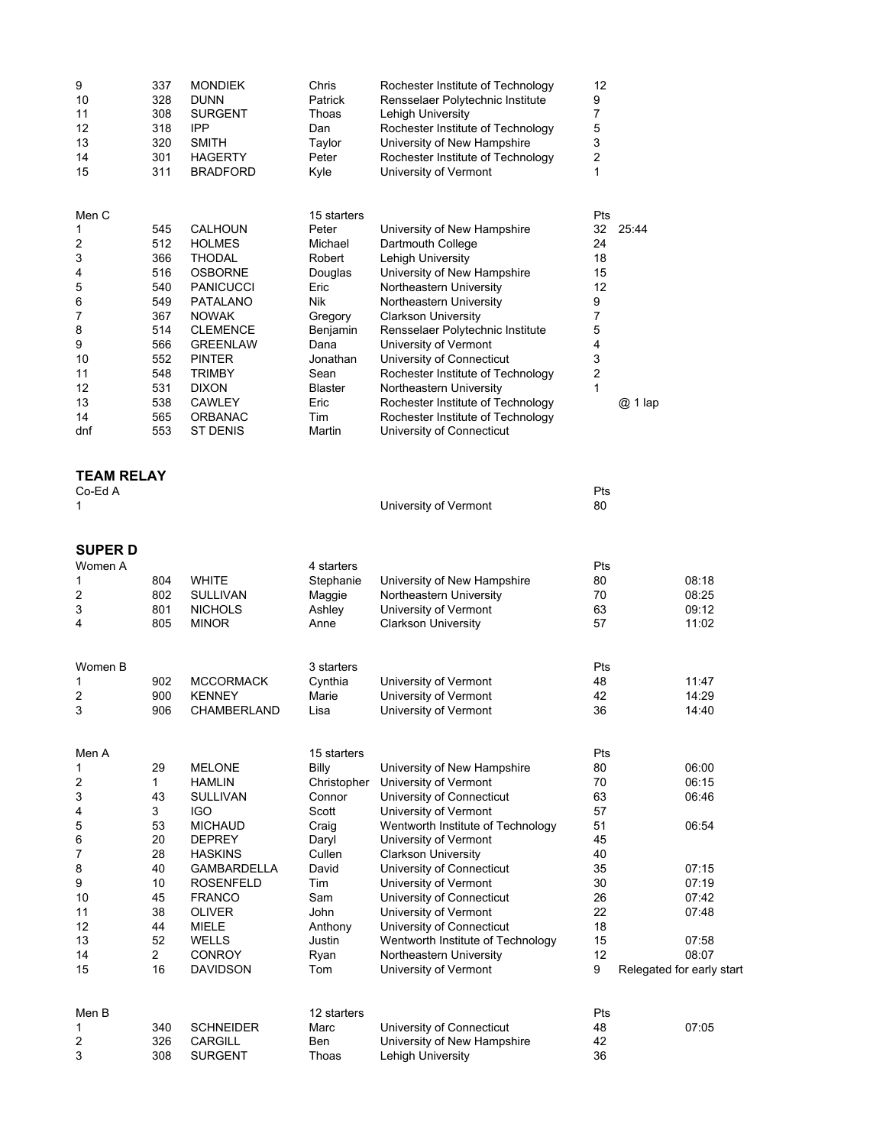| 9<br>10<br>11<br>12<br>13<br>14<br>15                                                   | 337<br>328<br>308<br>318<br>320<br>301<br>311                                                         | <b>MONDIEK</b><br><b>DUNN</b><br><b>SURGENT</b><br><b>IPP</b><br><b>SMITH</b><br><b>HAGERTY</b><br><b>BRADFORD</b>                                                                                                                                               | Chris<br>Patrick<br>Thoas<br>Dan<br>Taylor<br>Peter<br>Kyle                                                                                                       | Rochester Institute of Technology<br>Rensselaer Polytechnic Institute<br>Lehigh University<br>Rochester Institute of Technology<br>University of New Hampshire<br>Rochester Institute of Technology<br>University of Vermont                                                                                                                                                                                                                              | 12<br>9<br>7<br>5<br>3<br>2<br>1                                                             |                                                                                                                     |
|-----------------------------------------------------------------------------------------|-------------------------------------------------------------------------------------------------------|------------------------------------------------------------------------------------------------------------------------------------------------------------------------------------------------------------------------------------------------------------------|-------------------------------------------------------------------------------------------------------------------------------------------------------------------|-----------------------------------------------------------------------------------------------------------------------------------------------------------------------------------------------------------------------------------------------------------------------------------------------------------------------------------------------------------------------------------------------------------------------------------------------------------|----------------------------------------------------------------------------------------------|---------------------------------------------------------------------------------------------------------------------|
| Men C<br>1<br>2<br>3<br>4<br>5<br>6<br>7<br>8<br>9<br>10<br>11<br>12<br>13<br>14<br>dnf | 545<br>512<br>366<br>516<br>540<br>549<br>367<br>514<br>566<br>552<br>548<br>531<br>538<br>565<br>553 | <b>CALHOUN</b><br><b>HOLMES</b><br><b>THODAL</b><br><b>OSBORNE</b><br><b>PANICUCCI</b><br>PATALANO<br><b>NOWAK</b><br><b>CLEMENCE</b><br><b>GREENLAW</b><br><b>PINTER</b><br><b>TRIMBY</b><br><b>DIXON</b><br><b>CAWLEY</b><br><b>ORBANAC</b><br><b>ST DENIS</b> | 15 starters<br>Peter<br>Michael<br>Robert<br>Douglas<br>Eric<br>Nik<br>Gregory<br>Benjamin<br>Dana<br>Jonathan<br>Sean<br><b>Blaster</b><br>Eric<br>Tim<br>Martin | University of New Hampshire<br>Dartmouth College<br>Lehigh University<br>University of New Hampshire<br>Northeastern University<br>Northeastern University<br><b>Clarkson University</b><br>Rensselaer Polytechnic Institute<br>University of Vermont<br>University of Connecticut<br>Rochester Institute of Technology<br>Northeastern University<br>Rochester Institute of Technology<br>Rochester Institute of Technology<br>University of Connecticut | Pts<br>32<br>24<br>18<br>15<br>12<br>9<br>7<br>5<br>4<br>3<br>$\overline{\mathbf{c}}$<br>1   | 25:44<br>@ 1 lap                                                                                                    |
| <b>TEAM RELAY</b><br>Co-Ed A<br>1                                                       |                                                                                                       |                                                                                                                                                                                                                                                                  |                                                                                                                                                                   | University of Vermont                                                                                                                                                                                                                                                                                                                                                                                                                                     | Pts<br>80                                                                                    |                                                                                                                     |
| SUPER D<br>Women A<br>1<br>2<br>3<br>4                                                  | 804<br>802<br>801<br>805                                                                              | <b>WHITE</b><br><b>SULLIVAN</b><br><b>NICHOLS</b><br><b>MINOR</b>                                                                                                                                                                                                | 4 starters<br>Stephanie<br>Maggie<br>Ashley<br>Anne                                                                                                               | University of New Hampshire<br>Northeastern University<br>University of Vermont<br><b>Clarkson University</b>                                                                                                                                                                                                                                                                                                                                             | Pts<br>80<br>70<br>63<br>57                                                                  | 08:18<br>08:25<br>09:12<br>11:02                                                                                    |
| Women B<br>1<br>2<br>3                                                                  | 902<br>900<br>906                                                                                     | <b>MCCORMACK</b><br><b>KENNEY</b><br>CHAMBERLAND                                                                                                                                                                                                                 | 3 starters<br>Cynthia<br>Marie<br>Lisa                                                                                                                            | University of Vermont<br>University of Vermont<br>University of Vermont                                                                                                                                                                                                                                                                                                                                                                                   | Pts<br>48<br>42<br>36                                                                        | 11:47<br>14:29<br>14:40                                                                                             |
| Men A<br>1<br>2<br>3<br>4<br>5<br>6<br>7<br>8<br>9<br>10<br>11<br>12<br>13<br>14<br>15  | 29<br>1<br>43<br>3<br>53<br>20<br>28<br>40<br>10<br>45<br>38<br>44<br>52<br>2<br>16                   | <b>MELONE</b><br><b>HAMLIN</b><br><b>SULLIVAN</b><br><b>IGO</b><br><b>MICHAUD</b><br><b>DEPREY</b><br><b>HASKINS</b><br><b>GAMBARDELLA</b><br><b>ROSENFELD</b><br><b>FRANCO</b><br>OLIVER<br><b>MIELE</b><br><b>WELLS</b><br><b>CONROY</b><br><b>DAVIDSON</b>    | 15 starters<br><b>Billy</b><br>Christopher<br>Connor<br>Scott<br>Craig<br>Daryl<br>Cullen<br>David<br>Tim<br>Sam<br>John<br>Anthony<br>Justin<br>Ryan<br>Tom      | University of New Hampshire<br>University of Vermont<br>University of Connecticut<br>University of Vermont<br>Wentworth Institute of Technology<br>University of Vermont<br><b>Clarkson University</b><br>University of Connecticut<br>University of Vermont<br>University of Connecticut<br>University of Vermont<br>University of Connecticut<br>Wentworth Institute of Technology<br>Northeastern University<br>University of Vermont                  | Pts<br>80<br>70<br>63<br>57<br>51<br>45<br>40<br>35<br>30<br>26<br>22<br>18<br>15<br>12<br>9 | 06:00<br>06:15<br>06:46<br>06:54<br>07:15<br>07:19<br>07:42<br>07:48<br>07:58<br>08:07<br>Relegated for early start |
| Men B<br>1<br>2<br>3                                                                    | 340<br>326<br>308                                                                                     | <b>SCHNEIDER</b><br>CARGILL<br><b>SURGENT</b>                                                                                                                                                                                                                    | 12 starters<br>Marc<br>Ben<br>Thoas                                                                                                                               | University of Connecticut<br>University of New Hampshire<br>Lehigh University                                                                                                                                                                                                                                                                                                                                                                             | Pts<br>48<br>42<br>36                                                                        | 07:05                                                                                                               |